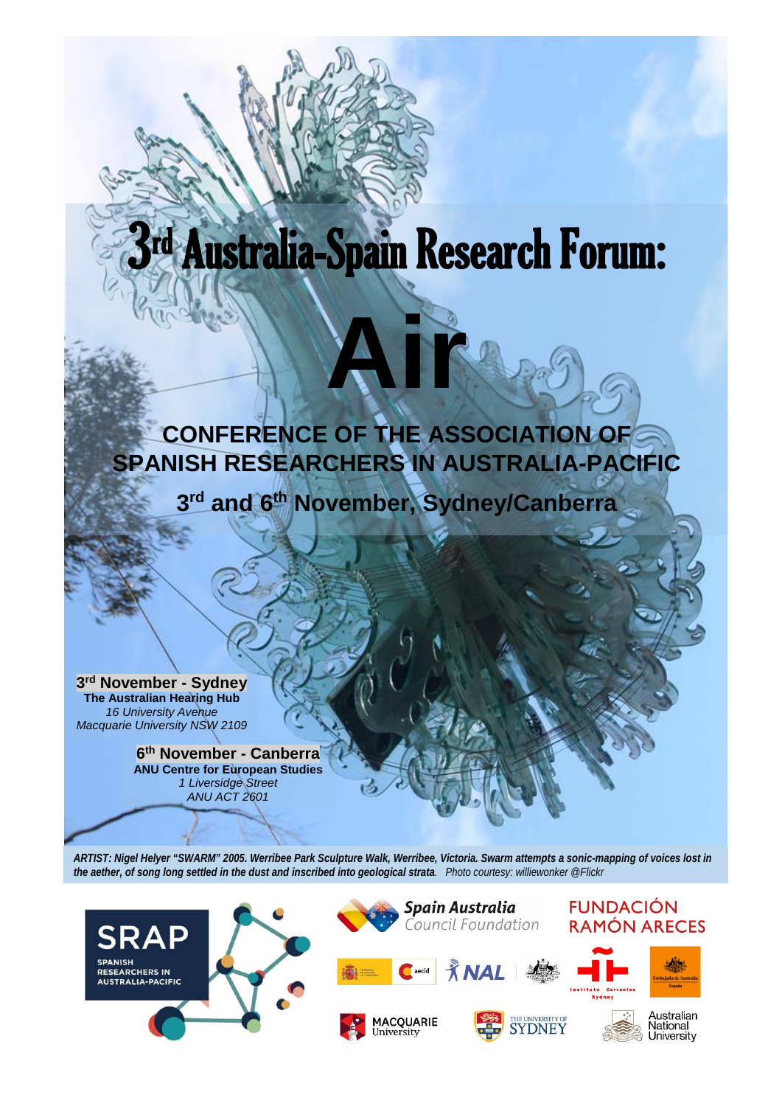# 3rd Australia-Spain Research Forum:

# **CONFERENCE OF THE ASSOCIATION OF SPANISH RESEARCHERS IN AUSTRALIA-PACIFIC**

**Air**

**3rd and 6th November, Sydney/Canberra**

**3rd November - Sydney The Australian Hearing Hub** *16 University Avenue Macquarie University NSW 2109*

> **6th November - Canberra ANU Centre for European Studies** *1 Liversidge Street ANU ACT 2601*

*ARTIST: Nigel Helyer "SWARM" 2005. Werribee Park Sculpture Walk, Werribee, Victoria. Swarm attempts a sonic-mapping of voices lost in the aether, of song long settled in the dust and inscribed into geological strata. Photo courtesy: williewonker @Flickr*

**MACQUARIE** 

University





 $\hat{\vec{X}}$ NAL

SYDNEY

**FUNDACIÓN RAMÓN ARECES** 





Australian National University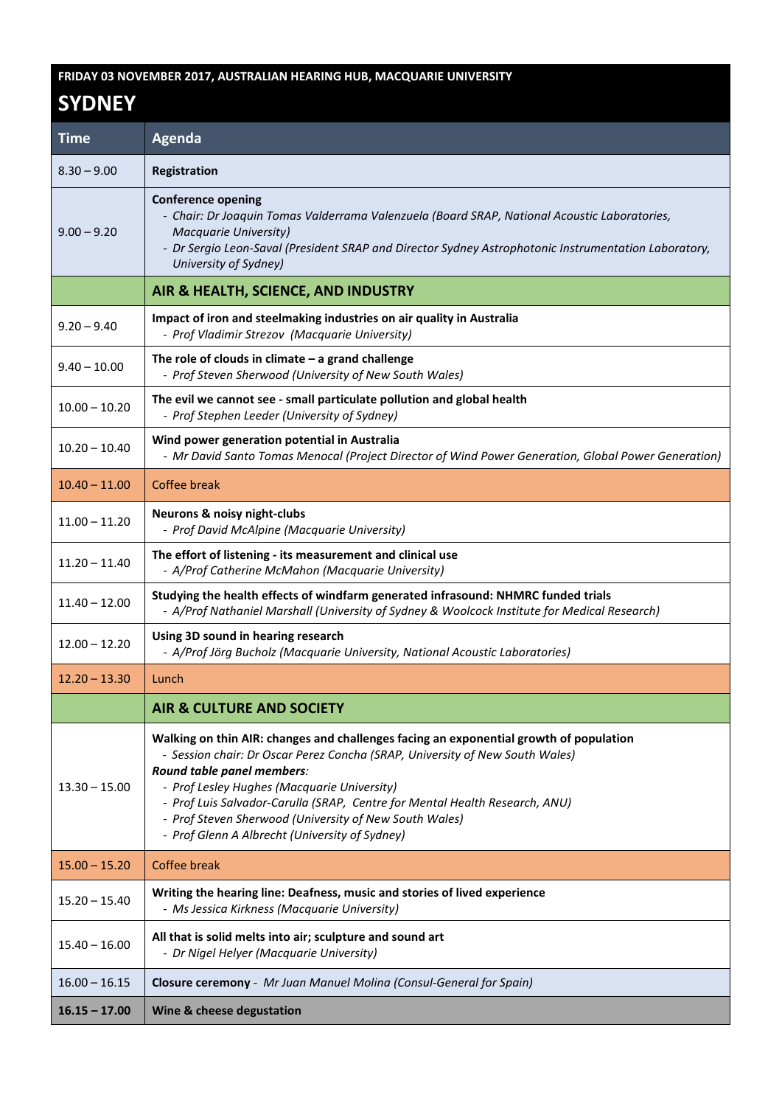#### **FRIDAY 03 NOVEMBER 2017, AUSTRALIAN HEARING HUB, MACQUARIE UNIVERSITY**

## **SYDNEY**

| <b>Time</b>     | <b>Agenda</b>                                                                                                                                                                                                                                                                                                                                                                                                                                  |
|-----------------|------------------------------------------------------------------------------------------------------------------------------------------------------------------------------------------------------------------------------------------------------------------------------------------------------------------------------------------------------------------------------------------------------------------------------------------------|
| $8.30 - 9.00$   | Registration                                                                                                                                                                                                                                                                                                                                                                                                                                   |
| $9.00 - 9.20$   | <b>Conference opening</b><br>- Chair: Dr Joaquin Tomas Valderrama Valenzuela (Board SRAP, National Acoustic Laboratories,<br>Macquarie University)<br>- Dr Sergio Leon-Saval (President SRAP and Director Sydney Astrophotonic Instrumentation Laboratory,<br>University of Sydney)                                                                                                                                                            |
|                 | AIR & HEALTH, SCIENCE, AND INDUSTRY                                                                                                                                                                                                                                                                                                                                                                                                            |
| $9.20 - 9.40$   | Impact of iron and steelmaking industries on air quality in Australia<br>- Prof Vladimir Strezov (Macquarie University)                                                                                                                                                                                                                                                                                                                        |
| $9.40 - 10.00$  | The role of clouds in climate $-$ a grand challenge<br>- Prof Steven Sherwood (University of New South Wales)                                                                                                                                                                                                                                                                                                                                  |
| $10.00 - 10.20$ | The evil we cannot see - small particulate pollution and global health<br>- Prof Stephen Leeder (University of Sydney)                                                                                                                                                                                                                                                                                                                         |
| $10.20 - 10.40$ | Wind power generation potential in Australia<br>- Mr David Santo Tomas Menocal (Project Director of Wind Power Generation, Global Power Generation)                                                                                                                                                                                                                                                                                            |
| $10.40 - 11.00$ | Coffee break                                                                                                                                                                                                                                                                                                                                                                                                                                   |
| $11.00 - 11.20$ | Neurons & noisy night-clubs<br>- Prof David McAlpine (Macquarie University)                                                                                                                                                                                                                                                                                                                                                                    |
| $11.20 - 11.40$ | The effort of listening - its measurement and clinical use<br>- A/Prof Catherine McMahon (Macquarie University)                                                                                                                                                                                                                                                                                                                                |
| $11.40 - 12.00$ | Studying the health effects of windfarm generated infrasound: NHMRC funded trials<br>- A/Prof Nathaniel Marshall (University of Sydney & Woolcock Institute for Medical Research)                                                                                                                                                                                                                                                              |
| $12.00 - 12.20$ | Using 3D sound in hearing research<br>- A/Prof Jörg Bucholz (Macquarie University, National Acoustic Laboratories)                                                                                                                                                                                                                                                                                                                             |
| $12.20 - 13.30$ | Lunch                                                                                                                                                                                                                                                                                                                                                                                                                                          |
|                 | <b>AIR &amp; CULTURE AND SOCIETY</b>                                                                                                                                                                                                                                                                                                                                                                                                           |
| $13.30 - 15.00$ | Walking on thin AIR: changes and challenges facing an exponential growth of population<br>- Session chair: Dr Oscar Perez Concha (SRAP, University of New South Wales)<br>Round table panel members:<br>- Prof Lesley Hughes (Macquarie University)<br>- Prof Luis Salvador-Carulla (SRAP, Centre for Mental Health Research, ANU)<br>- Prof Steven Sherwood (University of New South Wales)<br>- Prof Glenn A Albrecht (University of Sydney) |
| $15.00 - 15.20$ | Coffee break                                                                                                                                                                                                                                                                                                                                                                                                                                   |
| $15.20 - 15.40$ | Writing the hearing line: Deafness, music and stories of lived experience<br>- Ms Jessica Kirkness (Macquarie University)                                                                                                                                                                                                                                                                                                                      |
| $15.40 - 16.00$ | All that is solid melts into air; sculpture and sound art<br>- Dr Nigel Helyer (Macquarie University)                                                                                                                                                                                                                                                                                                                                          |
| $16.00 - 16.15$ | Closure ceremony - Mr Juan Manuel Molina (Consul-General for Spain)                                                                                                                                                                                                                                                                                                                                                                            |
| $16.15 - 17.00$ | Wine & cheese degustation                                                                                                                                                                                                                                                                                                                                                                                                                      |